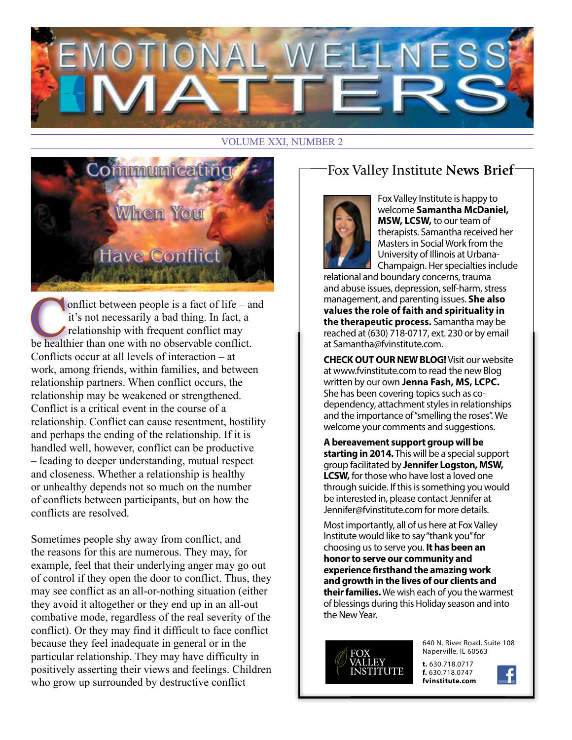

#### VOLUME XXI, NUMBER 2



onflict between people is a fact of life – and it's not necessarily a bad thing. In fact, a relationship with frequent conflict may be healthier than one with no observable conflict. Conflicts occur at all levels of interaction – at work, among friends, within families, and between relationship partners. When conflict occurs, the relationship may be weakened or strengthened. Conflict is a critical event in the course of a relationship. Conflict can cause resentment, hostility and perhaps the ending of the relationship. If it is handled well, however, conflict can be productive – leading to deeper understanding, mutual respect and closeness. Whether a relationship is healthy or unhealthy depends not so much on the number of conflicts between participants, but on how the conflicts are resolved.

Sometimes people shy away from conflict, and the reasons for this are numerous. They may, for example, feel that their underlying anger may go out of control if they open the door to conflict. Thus, they may see conflict as an all-or-nothing situation (either they avoid it altogether or they end up in an all-out combative mode, regardless of the real severity of the conflict). Or they may find it difficult to face conflict because they feel inadequate in general or in the particular relationship. They may have difficulty in positively asserting their views and feelings. Children who grow up surrounded by destructive conflict

### Fox Valley Institute **News Brief**



Fox Valley Institute is happy to welcome **Samantha McDaniel, MSW, LCSW,** to our team of therapists. Samantha received her Masters in Social Work from the University of Illinois at Urbana-Champaign. Her specialties include

relational and boundary concerns, trauma and abuse issues, depression, self-harm, stress management, and parenting issues. **She also values the role of faith and spirituality in the therapeutic process.** Samantha may be reached at (630) 718-0717, ext. 230 or by email at Samantha@fvinstitute.com.

**CHECK OUT OUR NEW BLOG!** Visit our website at www.fvinstitute.com to read the new Blog written by our own **Jenna Fash, MS, LCPC.** She has been covering topics such as codependency, attachment styles in relationships and the importance of "smelling the roses". We welcome your comments and suggestions.

**A bereavement support group will be starting in 2014.** This will be a special support group facilitated by **Jennifer Logston, MSW, LCSW,** for those who have lost a loved one through suicide. If this is something you would be interested in, please contact Jennifer at Jennifer@fvinstitute.com for more details.

Most importantly, all of us here at Fox Valley Institute would like to say "thank you" for choosing us to serve you. **It has been an honor to serve our community and experience firsthand the amazing work and growth in the lives of our clients and their families.** We wish each of you the warmest of blessings during this Holiday season and into the New Year.



640 N. River Road, Suite 108 Naperville, IL 60563

**t.** 630.718.0717 **f.** 630.718.0747 **fvinstitute.com**

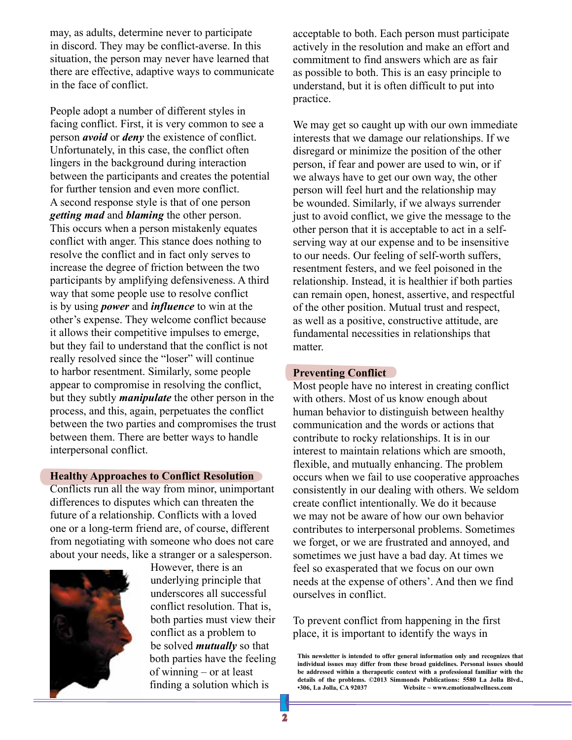may, as adults, determine never to participate in discord. They may be conflict-averse. In this situation, the person may never have learned that there are effective, adaptive ways to communicate in the face of conflict.

People adopt a number of different styles in facing conflict. First, it is very common to see a person *avoid* or *deny* the existence of conflict. Unfortunately, in this case, the conflict often lingers in the background during interaction between the participants and creates the potential for further tension and even more conflict. A second response style is that of one person *getting mad* and *blaming* the other person. This occurs when a person mistakenly equates conflict with anger. This stance does nothing to resolve the conflict and in fact only serves to increase the degree of friction between the two participants by amplifying defensiveness. A third way that some people use to resolve conflict is by using *power* and *influence* to win at the other's expense. They welcome conflict because it allows their competitive impulses to emerge, but they fail to understand that the conflict is not really resolved since the "loser" will continue to harbor resentment. Similarly, some people appear to compromise in resolving the conflict, but they subtly *manipulate* the other person in the process, and this, again, perpetuates the conflict between the two parties and compromises the trust between them. There are better ways to handle interpersonal conflict.

#### **Healthy Approaches to Conflict Resolution**

Conflicts run all the way from minor, unimportant differences to disputes which can threaten the future of a relationship. Conflicts with a loved one or a long-term friend are, of course, different from negotiating with someone who does not care about your needs, like a stranger or a salesperson.



However, there is an underlying principle that underscores all successful conflict resolution. That is, both parties must view their conflict as a problem to be solved *mutually* so that both parties have the feeling of winning – or at least finding a solution which is

acceptable to both. Each person must participate actively in the resolution and make an effort and commitment to find answers which are as fair as possible to both. This is an easy principle to understand, but it is often difficult to put into practice.

We may get so caught up with our own immediate interests that we damage our relationships. If we disregard or minimize the position of the other person, if fear and power are used to win, or if we always have to get our own way, the other person will feel hurt and the relationship may be wounded. Similarly, if we always surrender just to avoid conflict, we give the message to the other person that it is acceptable to act in a selfserving way at our expense and to be insensitive to our needs. Our feeling of self-worth suffers, resentment festers, and we feel poisoned in the relationship. Instead, it is healthier if both parties can remain open, honest, assertive, and respectful of the other position. Mutual trust and respect, as well as a positive, constructive attitude, are fundamental necessities in relationships that matter.

#### **Preventing Conflict**

Most people have no interest in creating conflict with others. Most of us know enough about human behavior to distinguish between healthy communication and the words or actions that contribute to rocky relationships. It is in our interest to maintain relations which are smooth, flexible, and mutually enhancing. The problem occurs when we fail to use cooperative approaches consistently in our dealing with others. We seldom create conflict intentionally. We do it because we may not be aware of how our own behavior contributes to interpersonal problems. Sometimes we forget, or we are frustrated and annoyed, and sometimes we just have a bad day. At times we feel so exasperated that we focus on our own needs at the expense of others'. And then we find ourselves in conflict.

To prevent conflict from happening in the first place, it is important to identify the ways in

**This newsletter is intended to offer general information only and recognizes that individual issues may differ from these broad guidelines. Personal issues should be addressed within a therapeutic context with a professional familiar with the details of the problems. ©2013 Simmonds Publications: 5580 La Jolla Blvd., •306, La Jolla, CA 92037 Website ~ www.emotionalwellness.com**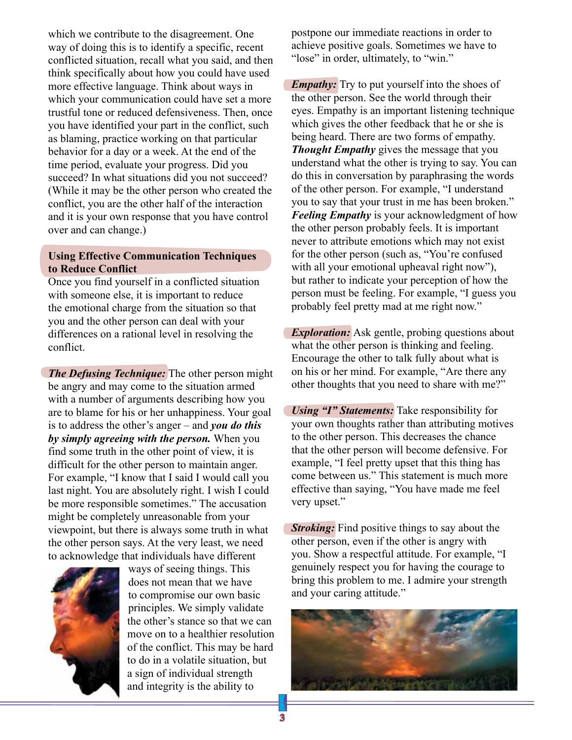which we contribute to the disagreement. One way of doing this is to identify a specific, recent conflicted situation, recall what you said, and then think specifically about how you could have used more effective language. Think about ways in which your communication could have set a more trustful tone or reduced defensiveness. Then, once you have identified your part in the conflict, such as blaming, practice working on that particular behavior for a day or a week. At the end of the time period, evaluate your progress. Did you succeed? In what situations did you not succeed? (While it may be the other person who created the conflict, you are the other half of the interaction and it is your own response that you have control over and can change.)

#### **Using Effective Communication Techniques to Reduce Conflict**

Once you find yourself in a conflicted situation with someone else, it is important to reduce the emotional charge from the situation so that you and the other person can deal with your differences on a rational level in resolving the conflict.

*The Defusing Technique:* The other person might be angry and may come to the situation armed with a number of arguments describing how you are to blame for his or her unhappiness. Your goal is to address the other's anger – and *you do this by simply agreeing with the person.* When you find some truth in the other point of view, it is difficult for the other person to maintain anger. For example, "I know that I said I would call you last night. You are absolutely right. I wish I could be more responsible sometimes." The accusation might be completely unreasonable from your viewpoint, but there is always some truth in what the other person says. At the very least, we need to acknowledge that individuals have different



ways of seeing things. This does not mean that we have to compromise our own basic principles. We simply validate the other's stance so that we can move on to a healthier resolution of the conflict. This may be hard to do in a volatile situation, but a sign of individual strength and integrity is the ability to

postpone our immediate reactions in order to achieve positive goals. Sometimes we have to "lose" in order, ultimately, to "win."

*Empathy:* Try to put yourself into the shoes of the other person. See the world through their eyes. Empathy is an important listening technique which gives the other feedback that he or she is being heard. There are two forms of empathy. *Thought Empathy* gives the message that you understand what the other is trying to say. You can do this in conversation by paraphrasing the words of the other person. For example, "I understand you to say that your trust in me has been broken." *Feeling Empathy* is your acknowledgment of how the other person probably feels. It is important never to attribute emotions which may not exist for the other person (such as, "You're confused with all your emotional upheaval right now"), but rather to indicate your perception of how the person must be feeling. For example, "I guess you probably feel pretty mad at me right now."

*Exploration:* Ask gentle, probing questions about what the other person is thinking and feeling. Encourage the other to talk fully about what is on his or her mind. For example, "Are there any other thoughts that you need to share with me?"

*Using "I" Statements:* Take responsibility for your own thoughts rather than attributing motives to the other person. This decreases the chance that the other person will become defensive. For example, "I feel pretty upset that this thing has come between us." This statement is much more effective than saying, "You have made me feel very upset."

*Stroking:* Find positive things to say about the other person, even if the other is angry with you. Show a respectful attitude. For example, "I genuinely respect you for having the courage to bring this problem to me. I admire your strength and your caring attitude."